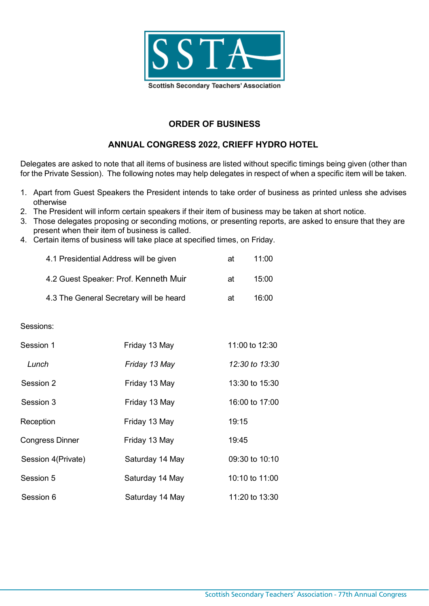

# **ORDER OF BUSINESS**

# **ANNUAL CONGRESS 2022, CRIEFF HYDRO HOTEL**

Delegates are asked to note that all items of business are listed without specific timings being given (other than for the Private Session). The following notes may help delegates in respect of when a specific item will be taken.

- 1. Apart from Guest Speakers the President intends to take order of business as printed unless she advises otherwise
- 2. The President will inform certain speakers if their item of business may be taken at short notice.
- 3. Those delegates proposing or seconding motions, or presenting reports, are asked to ensure that they are present when their item of business is called.
- 4. Certain items of business will take place at specified times, on Friday.

| 4.1 Presidential Address will be given  | аt | 11:00 |
|-----------------------------------------|----|-------|
| 4.2 Guest Speaker: Prof. Kenneth Muir   | аt | 15:00 |
| 4.3 The General Secretary will be heard | аt | 16:00 |

#### Sessions:

| Session 1              | Friday 13 May   | 11:00 to 12:30 |
|------------------------|-----------------|----------------|
| Lunch                  | Friday 13 May   | 12:30 to 13:30 |
| Session 2              | Friday 13 May   | 13:30 to 15:30 |
| Session 3              | Friday 13 May   | 16:00 to 17:00 |
| Reception              | Friday 13 May   | 19:15          |
| <b>Congress Dinner</b> | Friday 13 May   | 19:45          |
| Session 4(Private)     | Saturday 14 May | 09:30 to 10:10 |
| Session 5              | Saturday 14 May | 10:10 to 11:00 |
| Session 6              | Saturday 14 May | 11:20 to 13:30 |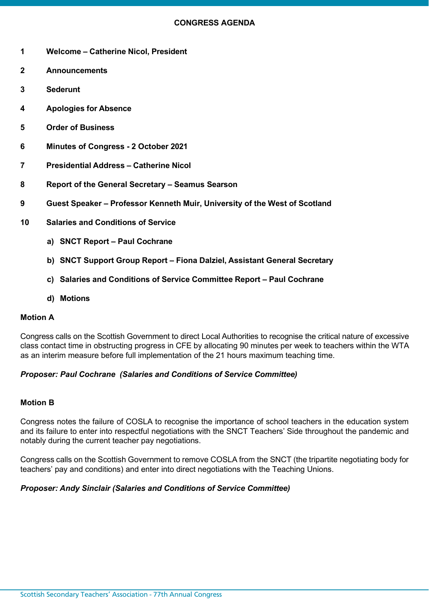- **1 Welcome – Catherine Nicol, President**
- **2 Announcements**
- **3 Sederunt**
- **4 Apologies for Absence**
- **5 Order of Business**
- **6 Minutes of Congress - 2 October 2021**
- **7 Presidential Address – Catherine Nicol**
- **8 Report of the General Secretary – Seamus Searson**
- **9 Guest Speaker – Professor Kenneth Muir, University of the West of Scotland**
- **10 Salaries and Conditions of Service**
	- **a) SNCT Report – Paul Cochrane**
	- **b) SNCT Support Group Report – Fiona Dalziel, Assistant General Secretary**
	- **c) Salaries and Conditions of Service Committee Report – Paul Cochrane**
	- **d) Motions**

### **Motion A**

Congress calls on the Scottish Government to direct Local Authorities to recognise the critical nature of excessive class contact time in obstructing progress in CFE by allocating 90 minutes per week to teachers within the WTA as an interim measure before full implementation of the 21 hours maximum teaching time.

# *Proposer: Paul Cochrane (Salaries and Conditions of Service Committee)*

### **Motion B**

Congress notes the failure of COSLA to recognise the importance of school teachers in the education system and its failure to enter into respectful negotiations with the SNCT Teachers' Side throughout the pandemic and notably during the current teacher pay negotiations.

Congress calls on the Scottish Government to remove COSLA from the SNCT (the tripartite negotiating body for teachers' pay and conditions) and enter into direct negotiations with the Teaching Unions.

# *Proposer: Andy Sinclair (Salaries and Conditions of Service Committee)*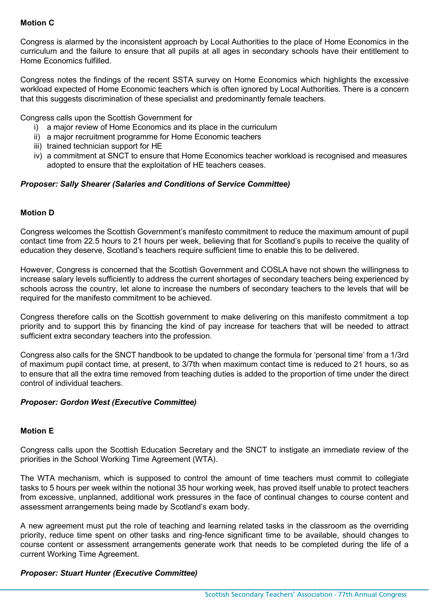# **Motion C**

Congress is alarmed by the inconsistent approach by Local Authorities to the place of Home Economics in the curriculum and the failure to ensure that all pupils at all ages in secondary schools have their entitlement to Home Economics fulfilled.

Congress notes the findings of the recent SSTA survey on Home Economics which highlights the excessive workload expected of Home Economic teachers which is often ignored by Local Authorities. There is a concern that this suggests discrimination of these specialist and predominantly female teachers.

Congress calls upon the Scottish Government for

- i) a major review of Home Economics and its place in the curriculum
- ii) a major recruitment programme for Home Economic teachers
- iii) trained technician support for HE
- iv) a commitment at SNCT to ensure that Home Economics teacher workload is recognised and measures adopted to ensure that the exploitation of HE teachers ceases.

# *Proposer: Sally Shearer (Salaries and Conditions of Service Committee)*

# **Motion D**

Congress welcomes the Scottish Government's manifesto commitment to reduce the maximum amount of pupil contact time from 22.5 hours to 21 hours per week, believing that for Scotland's pupils to receive the quality of education they deserve, Scotland's teachers require sufficient time to enable this to be delivered.

However, Congress is concerned that the Scottish Government and COSLA have not shown the willingness to increase salary levels sufficiently to address the current shortages of secondary teachers being experienced by schools across the country, let alone to increase the numbers of secondary teachers to the levels that will be required for the manifesto commitment to be achieved.

Congress therefore calls on the Scottish government to make delivering on this manifesto commitment a top priority and to support this by financing the kind of pay increase for teachers that will be needed to attract sufficient extra secondary teachers into the profession.

Congress also calls for the SNCT handbook to be updated to change the formula for 'personal time' from a 1/3rd of maximum pupil contact time, at present, to 3/7th when maximum contact time is reduced to 21 hours, so as to ensure that all the extra time removed from teaching duties is added to the proportion of time under the direct control of individual teachers.

### *Proposer: Gordon West (Executive Committee)*

### **Motion E**

Congress calls upon the Scottish Education Secretary and the SNCT to instigate an immediate review of the priorities in the School Working Time Agreement (WTA).

The WTA mechanism, which is supposed to control the amount of time teachers must commit to collegiate tasks to 5 hours per week within the notional 35 hour working week, has proved itself unable to protect teachers from excessive, unplanned, additional work pressures in the face of continual changes to course content and assessment arrangements being made by Scotland's exam body.

A new agreement must put the role of teaching and learning related tasks in the classroom as the overriding priority, reduce time spent on other tasks and ring-fence significant time to be available, should changes to course content or assessment arrangements generate work that needs to be completed during the life of a current Working Time Agreement.

### *Proposer: Stuart Hunter (Executive Committee)*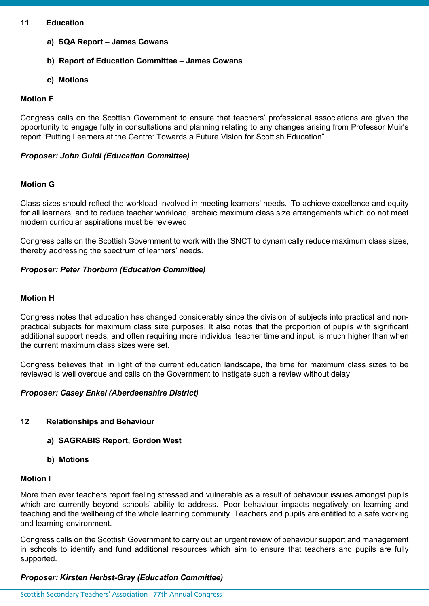#### **11 Education**

- **a) SQA Report – James Cowans**
- **b) Report of Education Committee – James Cowans**
- **c) Motions**

### **Motion F**

Congress calls on the Scottish Government to ensure that teachers' professional associations are given the opportunity to engage fully in consultations and planning relating to any changes arising from Professor Muir's report "Putting Learners at the Centre: Towards a Future Vision for Scottish Education".

### *Proposer: John Guidi (Education Committee)*

# **Motion G**

Class sizes should reflect the workload involved in meeting learners' needs. To achieve excellence and equity for all learners, and to reduce teacher workload, archaic maximum class size arrangements which do not meet modern curricular aspirations must be reviewed.

Congress calls on the Scottish Government to work with the SNCT to dynamically reduce maximum class sizes, thereby addressing the spectrum of learners' needs.

# *Proposer: Peter Thorburn (Education Committee)*

# **Motion H**

Congress notes that education has changed considerably since the division of subjects into practical and nonpractical subjects for maximum class size purposes. It also notes that the proportion of pupils with significant additional support needs, and often requiring more individual teacher time and input, is much higher than when the current maximum class sizes were set.

Congress believes that, in light of the current education landscape, the time for maximum class sizes to be reviewed is well overdue and calls on the Government to instigate such a review without delay.

### *Proposer: Casey Enkel (Aberdeenshire District)*

## **12 Relationships and Behaviour**

- **a) SAGRABIS Report, Gordon West**
- **b) Motions**

### **Motion I**

More than ever teachers report feeling stressed and vulnerable as a result of behaviour issues amongst pupils which are currently beyond schools' ability to address. Poor behaviour impacts negatively on learning and teaching and the wellbeing of the whole learning community. Teachers and pupils are entitled to a safe working and learning environment.

Congress calls on the Scottish Government to carry out an urgent review of behaviour support and management in schools to identify and fund additional resources which aim to ensure that teachers and pupils are fully supported.

### *Proposer: Kirsten Herbst-Gray (Education Committee)*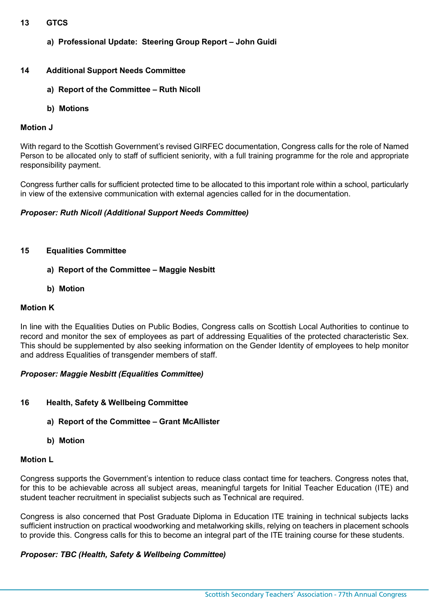## **13 GTCS**

**a) Professional Update: Steering Group Report – John Guidi**

# **14 Additional Support Needs Committee**

- **a) Report of the Committee – Ruth Nicoll**
- **b) Motions**

### **Motion J**

With regard to the Scottish Government's revised GIRFEC documentation, Congress calls for the role of Named Person to be allocated only to staff of sufficient seniority, with a full training programme for the role and appropriate responsibility payment.

Congress further calls for sufficient protected time to be allocated to this important role within a school, particularly in view of the extensive communication with external agencies called for in the documentation.

# *Proposer: Ruth Nicoll (Additional Support Needs Committee)*

### **15 Equalities Committee**

- **a) Report of the Committee – Maggie Nesbitt**
- **b) Motion**

### **Motion K**

In line with the Equalities Duties on Public Bodies, Congress calls on Scottish Local Authorities to continue to record and monitor the sex of employees as part of addressing Equalities of the protected characteristic Sex. This should be supplemented by also seeking information on the Gender Identity of employees to help monitor and address Equalities of transgender members of staff.

### *Proposer: Maggie Nesbitt (Equalities Committee)*

- **16 Health, Safety & Wellbeing Committee**
	- **a) Report of the Committee – Grant McAllister**
	- **b) Motion**

### **Motion L**

Congress supports the Government's intention to reduce class contact time for teachers. Congress notes that, for this to be achievable across all subject areas, meaningful targets for Initial Teacher Education (ITE) and student teacher recruitment in specialist subjects such as Technical are required.

Congress is also concerned that Post Graduate Diploma in Education ITE training in technical subjects lacks sufficient instruction on practical woodworking and metalworking skills, relying on teachers in placement schools to provide this. Congress calls for this to become an integral part of the ITE training course for these students.

### *Proposer: TBC (Health, Safety & Wellbeing Committee)*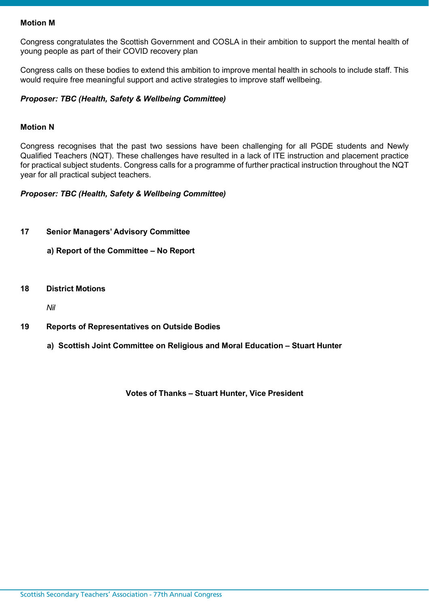### **Motion M**

Congress congratulates the Scottish Government and COSLA in their ambition to support the mental health of young people as part of their COVID recovery plan

Congress calls on these bodies to extend this ambition to improve mental health in schools to include staff. This would require free meaningful support and active strategies to improve staff wellbeing.

### *Proposer: TBC (Health, Safety & Wellbeing Committee)*

#### **Motion N**

Congress recognises that the past two sessions have been challenging for all PGDE students and Newly Qualified Teachers (NQT). These challenges have resulted in a lack of ITE instruction and placement practice for practical subject students. Congress calls for a programme of further practical instruction throughout the NQT year for all practical subject teachers.

*Proposer: TBC (Health, Safety & Wellbeing Committee)*

**17 Senior Managers' Advisory Committee**

**a) Report of the Committee – No Report**

**18 District Motions**

*Nil*

- **19 Reports of Representatives on Outside Bodies**
	- **a) Scottish Joint Committee on Religious and Moral Education – Stuart Hunter**

**Votes of Thanks – Stuart Hunter, Vice President**